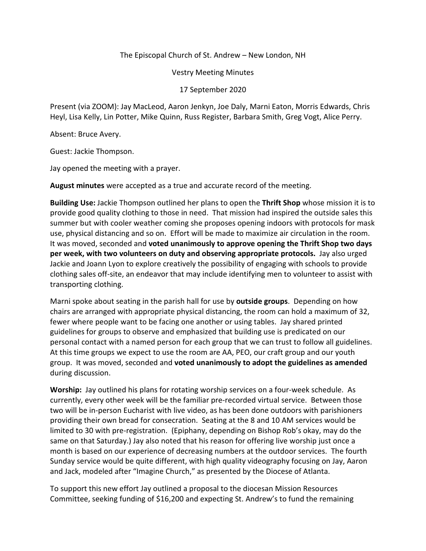## The Episcopal Church of St. Andrew – New London, NH

Vestry Meeting Minutes

17 September 2020

Present (via ZOOM): Jay MacLeod, Aaron Jenkyn, Joe Daly, Marni Eaton, Morris Edwards, Chris Heyl, Lisa Kelly, Lin Potter, Mike Quinn, Russ Register, Barbara Smith, Greg Vogt, Alice Perry.

Absent: Bruce Avery.

Guest: Jackie Thompson.

Jay opened the meeting with a prayer.

**August minutes** were accepted as a true and accurate record of the meeting.

**Building Use:** Jackie Thompson outlined her plans to open the **Thrift Shop** whose mission it is to provide good quality clothing to those in need. That mission had inspired the outside sales this summer but with cooler weather coming she proposes opening indoors with protocols for mask use, physical distancing and so on. Effort will be made to maximize air circulation in the room. It was moved, seconded and **voted unanimously to approve opening the Thrift Shop two days per week, with two volunteers on duty and observing appropriate protocols.** Jay also urged Jackie and Joann Lyon to explore creatively the possibility of engaging with schools to provide clothing sales off-site, an endeavor that may include identifying men to volunteer to assist with transporting clothing.

Marni spoke about seating in the parish hall for use by **outside groups**. Depending on how chairs are arranged with appropriate physical distancing, the room can hold a maximum of 32, fewer where people want to be facing one another or using tables. Jay shared printed guidelines for groups to observe and emphasized that building use is predicated on our personal contact with a named person for each group that we can trust to follow all guidelines. At this time groups we expect to use the room are AA, PEO, our craft group and our youth group. It was moved, seconded and **voted unanimously to adopt the guidelines as amended**  during discussion.

**Worship:** Jay outlined his plans for rotating worship services on a four-week schedule. As currently, every other week will be the familiar pre-recorded virtual service. Between those two will be in-person Eucharist with live video, as has been done outdoors with parishioners providing their own bread for consecration. Seating at the 8 and 10 AM services would be limited to 30 with pre-registration. (Epiphany, depending on Bishop Rob's okay, may do the same on that Saturday.) Jay also noted that his reason for offering live worship just once a month is based on our experience of decreasing numbers at the outdoor services. The fourth Sunday service would be quite different, with high quality videography focusing on Jay, Aaron and Jack, modeled after "Imagine Church," as presented by the Diocese of Atlanta.

To support this new effort Jay outlined a proposal to the diocesan Mission Resources Committee, seeking funding of \$16,200 and expecting St. Andrew's to fund the remaining